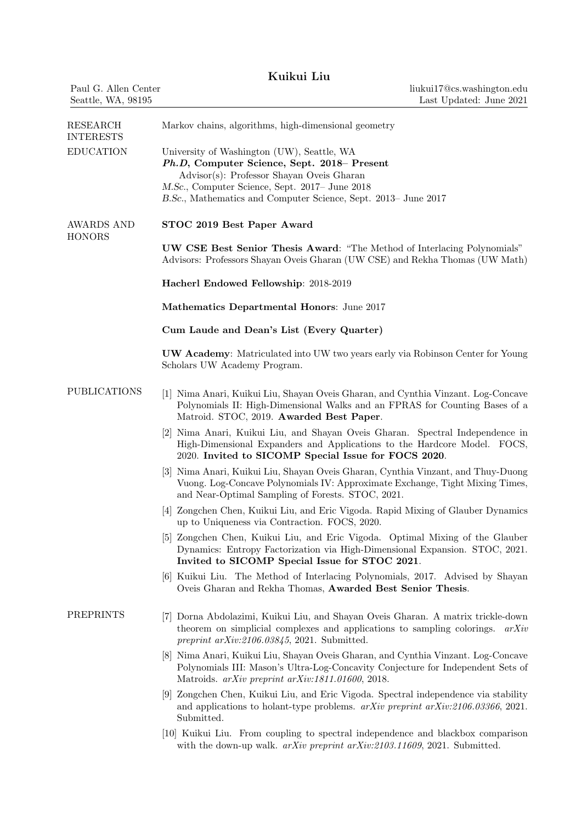| Kuikui Liu |  |  |
|------------|--|--|
|            |  |  |

|                                            | Kuikui Liu                                                                                                                                                                                                                                                 |
|--------------------------------------------|------------------------------------------------------------------------------------------------------------------------------------------------------------------------------------------------------------------------------------------------------------|
| Paul G. Allen Center<br>Seattle, WA, 98195 | liukui17@cs.washington.edu<br>Last Updated: June 2021                                                                                                                                                                                                      |
| RESEARCH<br><b>INTERESTS</b>               | Markov chains, algorithms, high-dimensional geometry                                                                                                                                                                                                       |
| <b>EDUCATION</b>                           | University of Washington (UW), Seattle, WA<br>Ph.D, Computer Science, Sept. 2018- Present<br>Advisor(s): Professor Shayan Oveis Gharan<br>M.Sc., Computer Science, Sept. 2017– June 2018<br>B.Sc., Mathematics and Computer Science, Sept. 2013– June 2017 |
| <b>AWARDS AND</b><br><b>HONORS</b>         | STOC 2019 Best Paper Award                                                                                                                                                                                                                                 |
|                                            | <b>UW CSE Best Senior Thesis Award:</b> "The Method of Interlacing Polynomials"<br>Advisors: Professors Shayan Oveis Gharan (UW CSE) and Rekha Thomas (UW Math)                                                                                            |
|                                            | Hacherl Endowed Fellowship: 2018-2019                                                                                                                                                                                                                      |
|                                            | Mathematics Departmental Honors: June 2017                                                                                                                                                                                                                 |
|                                            | Cum Laude and Dean's List (Every Quarter)                                                                                                                                                                                                                  |
|                                            | <b>UW Academy:</b> Matriculated into UW two years early via Robinson Center for Young<br>Scholars UW Academy Program.                                                                                                                                      |
| <b>PUBLICATIONS</b>                        | [1] Nima Anari, Kuikui Liu, Shayan Oveis Gharan, and Cynthia Vinzant. Log-Concave<br>Polynomials II: High-Dimensional Walks and an FPRAS for Counting Bases of a<br>Matroid. STOC, 2019. Awarded Best Paper.                                               |
|                                            | [2] Nima Anari, Kuikui Liu, and Shayan Oveis Gharan. Spectral Independence in<br>High-Dimensional Expanders and Applications to the Hardcore Model. FOCS,<br>2020. Invited to SICOMP Special Issue for FOCS 2020.                                          |
|                                            | [3] Nima Anari, Kuikui Liu, Shayan Oveis Gharan, Cynthia Vinzant, and Thuy-Duong<br>Vuong. Log-Concave Polynomials IV: Approximate Exchange, Tight Mixing Times,<br>and Near-Optimal Sampling of Forests. STOC, 2021.                                      |
|                                            | [4] Zongchen Chen, Kuikui Liu, and Eric Vigoda. Rapid Mixing of Glauber Dynamics<br>up to Uniqueness via Contraction. FOCS, 2020.                                                                                                                          |
|                                            | [5] Zongchen Chen, Kuikui Liu, and Eric Vigoda. Optimal Mixing of the Glauber<br>Dynamics: Entropy Factorization via High-Dimensional Expansion. STOC, 2021.<br>Invited to SICOMP Special Issue for STOC 2021.                                             |
|                                            | [6] Kuikui Liu. The Method of Interlacing Polynomials, 2017. Advised by Shayan<br>Oveis Gharan and Rekha Thomas, Awarded Best Senior Thesis.                                                                                                               |
| PREPRINTS                                  | [7] Dorna Abdolazimi, Kuikui Liu, and Shayan Oveis Gharan. A matrix trickle-down<br>theorem on simplicial complexes and applications to sampling colorings. $arXiv$<br>preprint $arXiv:2106.03845$ , 2021. Submitted.                                      |
|                                            | [8] Nima Anari, Kuikui Liu, Shayan Oveis Gharan, and Cynthia Vinzant. Log-Concave<br>Polynomials III: Mason's Ultra-Log-Concavity Conjecture for Independent Sets of<br>Matroids. arXiv preprint arXiv:1811.01600, 2018.                                   |
|                                            | [9] Zongchen Chen, Kuikui Liu, and Eric Vigoda. Spectral independence via stability<br>and applications to holant-type problems. $arXiv$ preprint $arXiv:2106.03366$ , 2021.<br>Submitted.                                                                 |
|                                            | [10] Kuikui Liu. From coupling to spectral independence and blackbox comparison<br>with the down-up walk. arXiv preprint arXiv:2103.11609, 2021. Submitted.                                                                                                |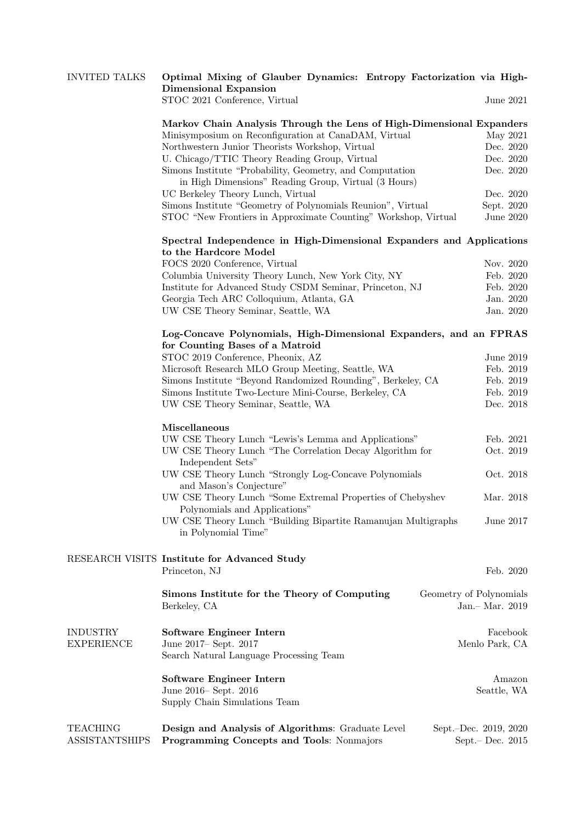| <b>INVITED TALKS</b>              | Optimal Mixing of Glauber Dynamics: Entropy Factorization via High-<br><b>Dimensional Expansion</b>  |                                            |  |  |  |
|-----------------------------------|------------------------------------------------------------------------------------------------------|--------------------------------------------|--|--|--|
|                                   | STOC 2021 Conference, Virtual                                                                        | June 2021                                  |  |  |  |
|                                   | Markov Chain Analysis Through the Lens of High-Dimensional Expanders                                 |                                            |  |  |  |
|                                   | Minisymposium on Reconfiguration at CanaDAM, Virtual                                                 | May 2021                                   |  |  |  |
|                                   | Northwestern Junior Theorists Workshop, Virtual                                                      | Dec. 2020                                  |  |  |  |
|                                   | U. Chicago/TTIC Theory Reading Group, Virtual                                                        | Dec. 2020                                  |  |  |  |
|                                   | Simons Institute "Probability, Geometry, and Computation                                             | Dec. 2020                                  |  |  |  |
|                                   | in High Dimensions" Reading Group, Virtual (3 Hours)                                                 |                                            |  |  |  |
|                                   | UC Berkeley Theory Lunch, Virtual                                                                    | Dec. 2020                                  |  |  |  |
|                                   | Simons Institute "Geometry of Polynomials Reunion", Virtual                                          | Sept. 2020                                 |  |  |  |
|                                   | STOC "New Frontiers in Approximate Counting" Workshop, Virtual                                       | June 2020                                  |  |  |  |
|                                   | Spectral Independence in High-Dimensional Expanders and Applications<br>to the Hardcore Model        |                                            |  |  |  |
|                                   | FOCS 2020 Conference, Virtual                                                                        | Nov. 2020                                  |  |  |  |
|                                   | Columbia University Theory Lunch, New York City, NY                                                  | Feb. 2020                                  |  |  |  |
|                                   | Institute for Advanced Study CSDM Seminar, Princeton, NJ                                             | Feb. 2020                                  |  |  |  |
|                                   | Georgia Tech ARC Colloquium, Atlanta, GA                                                             | Jan. 2020                                  |  |  |  |
|                                   | UW CSE Theory Seminar, Seattle, WA                                                                   | Jan. 2020                                  |  |  |  |
|                                   | Log-Concave Polynomials, High-Dimensional Expanders, and an FPRAS<br>for Counting Bases of a Matroid |                                            |  |  |  |
|                                   | STOC 2019 Conference, Pheonix, AZ                                                                    | June 2019                                  |  |  |  |
|                                   | Microsoft Research MLO Group Meeting, Seattle, WA                                                    | Feb. 2019                                  |  |  |  |
|                                   | Simons Institute "Beyond Randomized Rounding", Berkeley, CA                                          | Feb. 2019                                  |  |  |  |
|                                   | Simons Institute Two-Lecture Mini-Course, Berkeley, CA                                               | Feb. 2019                                  |  |  |  |
|                                   | UW CSE Theory Seminar, Seattle, WA                                                                   | Dec. 2018                                  |  |  |  |
|                                   |                                                                                                      |                                            |  |  |  |
|                                   | Miscellaneous                                                                                        |                                            |  |  |  |
|                                   | UW CSE Theory Lunch "Lewis's Lemma and Applications"                                                 | Feb. 2021                                  |  |  |  |
|                                   | UW CSE Theory Lunch "The Correlation Decay Algorithm for<br>Independent Sets"                        | Oct. 2019                                  |  |  |  |
|                                   | UW CSE Theory Lunch "Strongly Log-Concave Polynomials<br>and Mason's Conjecture"                     | Oct. 2018                                  |  |  |  |
|                                   | UW CSE Theory Lunch "Some Extremal Properties of Chebyshev                                           | Mar. 2018                                  |  |  |  |
|                                   | Polynomials and Applications"                                                                        |                                            |  |  |  |
|                                   | UW CSE Theory Lunch "Building Bipartite Ramanujan Multigraphs"<br>in Polynomial Time"                | June 2017                                  |  |  |  |
|                                   |                                                                                                      |                                            |  |  |  |
|                                   | RESEARCH VISITS Institute for Advanced Study                                                         |                                            |  |  |  |
|                                   | Princeton, NJ                                                                                        | Feb. 2020                                  |  |  |  |
|                                   | Simons Institute for the Theory of Computing<br>Geometry of Polynomials<br>Berkeley, CA              | Jan.- Mar. 2019                            |  |  |  |
| <b>INDUSTRY</b>                   | Software Engineer Intern                                                                             | Facebook                                   |  |  |  |
| <b>EXPERIENCE</b>                 | June 2017 - Sept. 2017                                                                               | Menlo Park, CA                             |  |  |  |
|                                   | Search Natural Language Processing Team                                                              |                                            |  |  |  |
|                                   | Software Engineer Intern                                                                             | Amazon                                     |  |  |  |
|                                   | June 2016– Sept. 2016                                                                                | Seattle, WA                                |  |  |  |
|                                   | Supply Chain Simulations Team                                                                        |                                            |  |  |  |
|                                   |                                                                                                      |                                            |  |  |  |
| TEACHING<br><b>ASSISTANTSHIPS</b> | Design and Analysis of Algorithms: Graduate Level<br>Programming Concepts and Tools: Nonmajors       | Sept.-Dec. 2019, 2020<br>Sept. – Dec. 2015 |  |  |  |